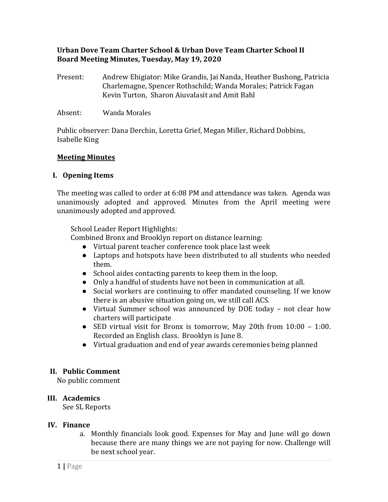# **Urban Dove Team Charter School & Urban Dove Team Charter School II Board Meeting Minutes, Tuesday, May 19, 2020**

- Present: Andrew Ehigiator: Mike Grandis, Jai Nanda, Heather Bushong, Patricia Charlemagne, Spencer Rothschild; Wanda Morales; Patrick Fagan Kevin Turton, Sharon Aiuvalasit and Amit Bahl
- Absent: Wanda Morales

Public observer: Dana Derchin, Loretta Grief, Megan Miller, Richard Dobbins, Isabelle King

### **Meeting Minutes**

### **I. Opening Items**

The meeting was called to order at 6:08 PM and attendance was taken. Agenda was unanimously adopted and approved. Minutes from the April meeting were unanimously adopted and approved.

School Leader Report Highlights:

Combined Bronx and Brooklyn report on distance learning:

- Virtual parent teacher conference took place last week
- Laptops and hotspots have been distributed to all students who needed them.
- School aides contacting parents to keep them in the loop.
- Only a handful of students have not been in communication at all.
- Social workers are continuing to offer mandated counseling. If we know there is an abusive situation going on, we still call ACS.
- Virtual Summer school was announced by DOE today not clear how charters will participate
- SED virtual visit for Bronx is tomorrow, May 20th from 10:00 1:00. Recorded an English class. Brooklyn is June 8.
- Virtual graduation and end of year awards ceremonies being planned

### **II. Public Comment**

No public comment

### **III. Academics**

See SL Reports

### **IV. Finance**

a. Monthly financials look good. Expenses for May and June will go down because there are many things we are not paying for now. Challenge will be next school year.